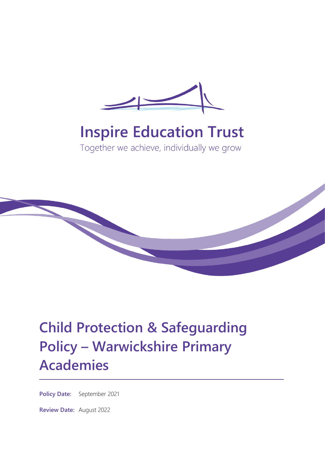

# **Inspire Education Trust**

Together we achieve, individually we grow



# **Child Protection & Safeguarding Policy – Warwickshire Primary Academies**

**Policy Date:** September 2021

**Review Date:** August 2022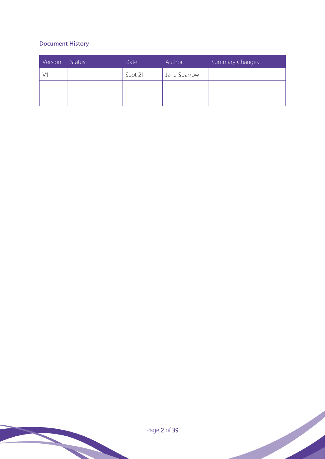# **Document History**

| Version | <b>Status</b> | Date    | Author       | Summary Changes |
|---------|---------------|---------|--------------|-----------------|
|         |               | Sept 21 | Jane Sparrow |                 |
|         |               |         |              |                 |
|         |               |         |              |                 |

Page 2 of 39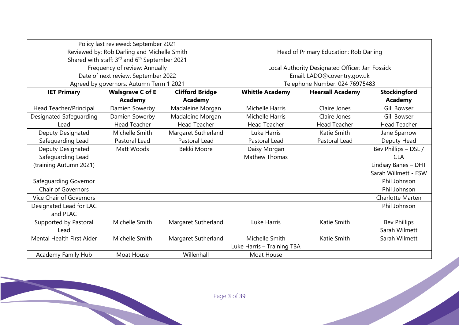| Policy last reviewed: September 2021    |                                                           |                        |                                                 |                         |                         |
|-----------------------------------------|-----------------------------------------------------------|------------------------|-------------------------------------------------|-------------------------|-------------------------|
|                                         | Reviewed by: Rob Darling and Michelle Smith               |                        | Head of Primary Education: Rob Darling          |                         |                         |
|                                         | Shared with staff: 3rd and 6 <sup>th</sup> September 2021 |                        |                                                 |                         |                         |
|                                         | Frequency of review: Annually                             |                        | Local Authority Designated Officer: Jan Fossick |                         |                         |
|                                         | Date of next review: September 2022                       |                        | Email: LADO@coventry.gov.uk                     |                         |                         |
| Agreed by governors: Autumn Term 1 2021 |                                                           |                        | Telephone Number: 024 76975483                  |                         |                         |
| <b>IET Primary</b>                      | <b>Walsgrave C of E</b>                                   | <b>Clifford Bridge</b> | <b>Whittle Academy</b>                          | <b>Hearsall Academy</b> | <b>Stockingford</b>     |
|                                         | <b>Academy</b>                                            | <b>Academy</b>         |                                                 |                         | <b>Academy</b>          |
| Head Teacher/Principal                  | Damien Sowerby                                            | Madaleine Morgan       | Michelle Harris                                 | Claire Jones            | <b>Gill Bowser</b>      |
| Designated Safeguarding                 | Damien Sowerby                                            | Madaleine Morgan       | <b>Michelle Harris</b>                          | Claire Jones            | <b>Gill Bowser</b>      |
| Lead                                    | <b>Head Teacher</b>                                       | <b>Head Teacher</b>    | <b>Head Teacher</b>                             | <b>Head Teacher</b>     | <b>Head Teacher</b>     |
| Deputy Designated                       | Michelle Smith                                            | Margaret Sutherland    | Luke Harris                                     | Katie Smith             | Jane Sparrow            |
| Safeguarding Lead                       | Pastoral Lead                                             | Pastoral Lead          | Pastoral Lead                                   | Pastoral Lead           | Deputy Head             |
| Deputy Designated                       | Matt Woods                                                | Bekki Moore            | Daisy Morgan                                    |                         | Bev Phillips - DSL /    |
| Safeguarding Lead                       |                                                           |                        | <b>Mathew Thomas</b>                            |                         | <b>CLA</b>              |
| (training Autumn 2021)                  |                                                           |                        |                                                 |                         | Lindsay Banes - DHT     |
|                                         |                                                           |                        |                                                 |                         | Sarah Willmett - FSW    |
| Safeguarding Governor                   |                                                           |                        |                                                 |                         | Phil Johnson            |
| <b>Chair of Governors</b>               |                                                           |                        |                                                 |                         | Phil Johnson            |
| <b>Vice Chair of Governors</b>          |                                                           |                        |                                                 |                         | <b>Charlotte Marten</b> |
| Designated Lead for LAC                 |                                                           |                        |                                                 |                         | Phil Johnson            |
| and PLAC                                |                                                           |                        |                                                 |                         |                         |
| Supported by Pastoral                   | Michelle Smith                                            | Margaret Sutherland    | Luke Harris                                     | <b>Katie Smith</b>      | <b>Bev Phillips</b>     |
| Lead                                    |                                                           |                        |                                                 |                         | Sarah Wilmett           |
| <b>Mental Health First Aider</b>        | Michelle Smith                                            | Margaret Sutherland    | Michelle Smith                                  | Katie Smith             | Sarah Wilmett           |
|                                         |                                                           |                        | Luke Harris - Training TBA                      |                         |                         |
| Academy Family Hub                      | Moat House                                                | Willenhall             | Moat House                                      |                         |                         |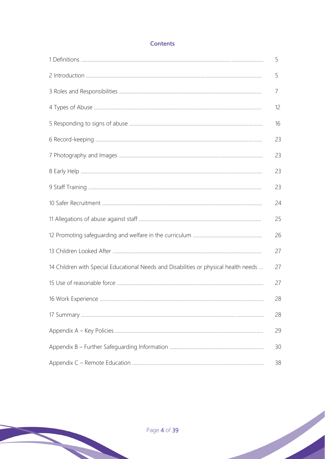# **Contents**

|                                                                                      | 5  |
|--------------------------------------------------------------------------------------|----|
|                                                                                      | 5  |
|                                                                                      | 7  |
|                                                                                      | 12 |
|                                                                                      | 16 |
|                                                                                      | 23 |
|                                                                                      | 23 |
|                                                                                      | 23 |
|                                                                                      | 23 |
|                                                                                      | 24 |
|                                                                                      | 25 |
|                                                                                      | 26 |
|                                                                                      | 27 |
| 14 Children with Special Educational Needs and Disabilities or physical health needs | 27 |
|                                                                                      | 27 |
|                                                                                      | 28 |
|                                                                                      | 28 |
|                                                                                      | 29 |
|                                                                                      | 30 |
|                                                                                      | 38 |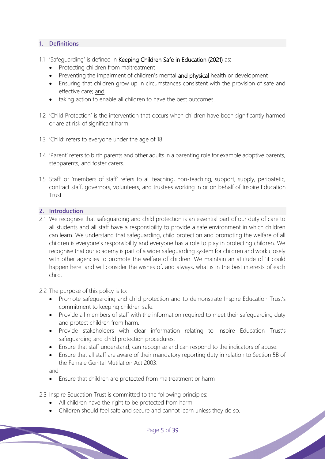## **1. Definitions**

- 1.1 'Safeguarding' is defined in Keeping Children Safe in Education (2021) as:
	- Protecting children from maltreatment
	- Preventing the impairment of children's mental and physical health or development
	- Ensuring that children grow up in circumstances consistent with the provision of safe and effective care; and
	- taking action to enable all children to have the best outcomes.
- 1.2 'Child Protection' is the intervention that occurs when children have been significantly harmed or are at risk of significant harm.
- 1.3 'Child' refers to everyone under the age of 18.
- 1.4 'Parent' refers to birth parents and other adults in a parenting role for example adoptive parents, stepparents, and foster carers.
- 1.5 Staff' or 'members of staff' refers to all teaching, non-teaching, support, supply, peripatetic, contract staff, governors, volunteers, and trustees working in or on behalf of Inspire Education Trust

#### **2. Introduction**

- 2.1 We recognise that safeguarding and child protection is an essential part of our duty of care to all students and all staff have a responsibility to provide a safe environment in which children can learn. We understand that safeguarding, child protection and promoting the welfare of all children is everyone's responsibility and everyone has a role to play in protecting children. We recognise that our academy is part of a wider safeguarding system for children and work closely with other agencies to promote the welfare of children. We maintain an attitude of 'it could happen here' and will consider the wishes of, and always, what is in the best interests of each child.
- 2.2 The purpose of this policy is to:
	- Promote safeguarding and child protection and to demonstrate Inspire Education Trust's commitment to keeping children safe.
	- Provide all members of staff with the information required to meet their safeguarding duty and protect children from harm.
	- Provide stakeholders with clear information relating to Inspire Education Trust's safeguarding and child protection procedures.
	- Ensure that staff understand, can recognise and can respond to the indicators of abuse.
	- Ensure that all staff are aware of their mandatory reporting duty in relation to Section 5B of the Female Genital Mutilation Act 2003.

and

- Ensure that children are protected from maltreatment or harm
- 2.3 Inspire Education Trust is committed to the following principles:
	- All children have the right to be protected from harm.
	- Children should feel safe and secure and cannot learn unless they do so.

Page 5 of 39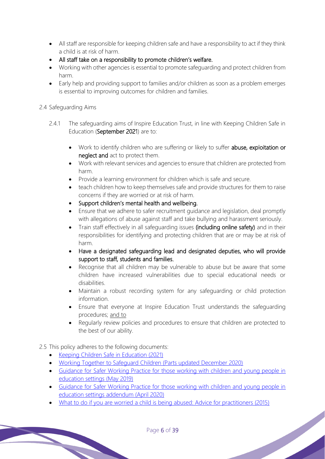- All staff are responsible for keeping children safe and have a responsibility to act if they think a child is at risk of harm.
- All staff take on a responsibility to promote children's welfare.
- Working with other agencies is essential to promote safeguarding and protect children from harm.
- Early help and providing support to families and/or children as soon as a problem emerges is essential to improving outcomes for children and families.

## 2.4 Safeguarding Aims

- 2.4.1 The safeguarding aims of Inspire Education Trust, in line with Keeping Children Safe in Education (September 2021) are to:
	- Work to identify children who are suffering or likely to suffer abuse, exploitation or neglect and act to protect them.
	- Work with relevant services and agencies to ensure that children are protected from harm.
	- Provide a learning environment for children which is safe and secure.
	- teach children how to keep themselves safe and provide structures for them to raise concerns if they are worried or at risk of harm.
	- Support children's mental health and wellbeing.
	- Ensure that we adhere to safer recruitment guidance and legislation, deal promptly with allegations of abuse against staff and take bullying and harassment seriously.
	- Train staff effectively in all safequarding issues (including online safety) and in their responsibilities for identifying and protecting children that are or may be at risk of harm.
	- Have a designated safeguarding lead and designated deputies, who will provide support to staff, students and families.
	- Recognise that all children may be vulnerable to abuse but be aware that some children have increased vulnerabilities due to special educational needs or disabilities.
	- Maintain a robust recording system for any safeguarding or child protection information.
	- Ensure that everyone at Inspire Education Trustunderstands the safeguarding procedures; and to
	- Regularly review policies and procedures to ensure that children are protected to the best of our ability.

# 2.5 This policy adheres to the following documents:

- Keeping Children Safe in Education (2021)
- Working Together to Safeguard Children (Parts updated December 2020)
- Guidance for Safer Working Practice for those working with children and young people in education settings (May 2019)
- Guidance for Safer Working Practice for those working with children and young people in education settings addendum (April 2020)
- What to do if you are worried a child is being abused: Advice for practitioners (2015)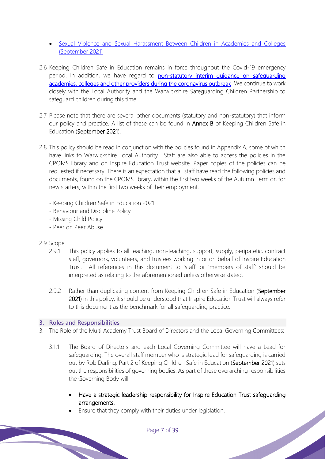- Sexual Violence and Sexual Harassment Between Children in Academies and Colleges (September 2021)
- 2.6 Keeping Children Safe in Education remains in force throughout the Covid-19 emergency period. In addition, we have regard to non-statutory interim quidance on safequarding academies, colleges and other providers during the coronavirus outbreak. We continue to work closely with the Local Authority and the Warwickshire Safeguarding Children Partnership to safeguard children during this time.
- 2.7 Please note that there are several other documents (statutory and non-statutory) that inform our policy and practice. A list of these can be found in **Annex B** of Keeping Children Safe in Education (September 2021).
- 2.8 This policy should be read in conjunction with the policies found in Appendix A, some of which have links to Warwickshire Local Authority. Staff are also able to access the policies in the CPOMS library and on Inspire Education Trust website. Paper copies of the policies can be requested if necessary. There is an expectation that all staff have read the following policies and documents, found on the CPOMS library, within the first two weeks of the Autumn Term or, for new starters, within the first two weeks of their employment.
	- Keeping Children Safe in Education 2021
	- Behaviour and Discipline Policy
	- Missing Child Policy
	- Peer on Peer Abuse

## 2.9 Scope

- 2.9.1 This policy applies to all teaching, non-teaching, support, supply, peripatetic, contract staff, governors, volunteers, and trustees working in or on behalf ofInspire Education Trust. All references in this document to 'staff' or 'members of staff' should be interpreted as relating to the aforementioned unless otherwise stated.
- 2.9.2 Rather than duplicating content from Keeping Children Safe in Education (September 2021) in this policy, it should be understood thatInspire Education Trustwill always refer to this document as the benchmark for all safeguarding practice.

## **3. Roles and Responsibilities**

- 3.1 The Role of the Multi Academy Trust Board of Directors and the Local Governing Committees:
	- 3.1.1 The Board of Directors and each Local Governing Committee will have a Lead for safeguarding. The overall staff member who is strategic lead for safeguarding is carried out by Rob Darling. Part 2 of Keeping Children Safe in Education (September 2021) sets out the responsibilities of governing bodies. As part of these overarching responsibilities the Governing Body will:
		- Have a strategic leadership responsibility for Inspire Education Trust safeguarding arrangements.

Ensure that they comply with their duties under legislation.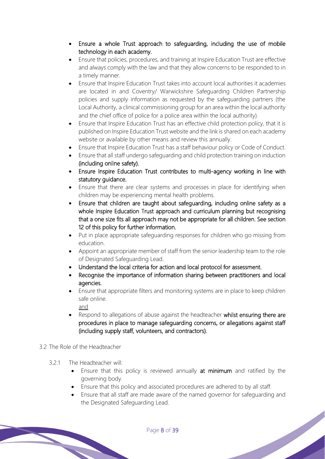- Ensure a whole Trust approach to safeguarding, including the use of mobile technology in each academy.
- Ensure that policies, procedures, and training at Inspire Education Trust are effective and always comply with the law and that they allow concerns to be responded to in a timely manner.
- Ensure that Inspire Education Trust takes into account local authorities it academies are located in and Coventry/ Warwickshire Safeguarding Children Partnership policies and supply information as requested by the safeguarding partners (the Local Authority, a clinical commissioning group for an area within the local authority and the chief office of police for a police area within the local authority).
- Ensure that Inspire Education Trust has an effective child protection policy, that it is published onInspire Education Trust website and the link is shared on each academy website or available by other means and review this annually.
- Ensure that Inspire Education Trust has a staff behaviour policy or Code of Conduct.
- Ensure that all staff undergo safeguarding and child protection training on induction (including online safety).
- EnsureInspire Education Trust contributes to multi-agency working in line with statutory guidance.
- Ensure that there are clear systems and processes in place for identifying when children may be experiencing mental health problems.
- Ensure that children are taught about safeguarding, including online safety as a whole Inspire Education Trust approach and curriculum planning but recognising that a one size fits all approach may not be appropriate for all children. See section 12 of this policy for further information.
- Put in place appropriate safeguarding responses for children who go missing from education.
- Appoint an appropriate member of staff from the senior leadership team to the role of Designated Safeguarding Lead.
- Understand the local criteria for action and local protocol for assessment.
- Recognise the importance of information sharing between practitioners and local agencies.
- Ensure that appropriate filters and monitoring systems are in place to keep children safe online. and
- Respond to allegations of abuse against the headteacher whilst ensuring there are procedures in place to manage safeguarding concerns, or allegations against staff (including supply staff, volunteers, and contractors).
- 3.2 The Role of the Headteacher
	- 3.2.1 The Headteacher will:
		- Ensure that this policy is reviewed annually at minimum and ratified by the governing body.
		- Ensure that this policy and associated procedures are adhered to by all staff.
		- Ensure that all staff are made aware of the named governor for safeguarding and the Designated Safeguarding Lead.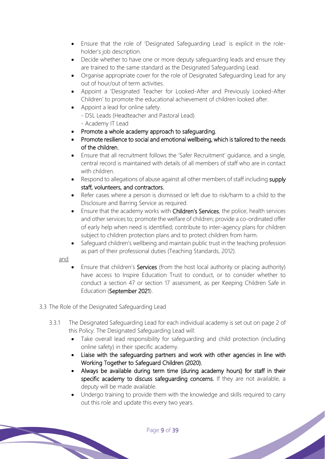- Ensure that the role of 'Designated Safeguarding Lead' is explicit in the roleholder's job description.
- Decide whether to have one or more deputy safeguarding leads and ensure they are trained to the same standard as the Designated Safeguarding Lead.
- Organise appropriate cover for the role of Designated Safeguarding Lead for any out of hour/out of term activities.
- Appoint a 'Designated Teacher for Looked-After and Previously Looked-After Children' to promote the educational achievement of children looked after.
- Appoint a lead for online safety.
	- DSL Leads (Headteacher and Pastoral Lead)
	- Academy IT Lead
- Promote a whole academy approach to safeguarding.
- Promote resilience to social and emotional wellbeing, which is tailored to the needs of the children.
- Ensure that all recruitment follows the 'Safer Recruitment' guidance, and a single, central record is maintained with details of all members of staff who are in contact with children
- Respond to allegations of abuse against all other members of staff including supply staff, volunteers, and contractors.
- Refer cases where a person is dismissed or left due to risk/harm to a child to the Disclosure and Barring Service as required.
- Ensure that the academy works with Children's Services, the police, health services and other services to; promote the welfare of children; provide a co-ordinated offer of early help when need is identified; contribute to inter-agency plans for children subject to children protection plans and to protect children from harm.
- Safeguard children's wellbeing and maintain public trust in the teaching profession as part of their professional duties (Teaching Standards, 2012).

and

- Ensure that children's **Services** (from the host local authority or placing authority) have access to Inspire Education Trust to conduct, or to consider whether to conduct a section 47 or section 17 assessment, as per Keeping Children Safe in Education (September 2021).
- 3.3 The Role of the Designated Safeguarding Lead
	- 3.3.1 The Designated Safeguarding Lead for each individual academy is set out on page 2 of this Policy. The Designated Safeguarding Lead will:
		- Take overall lead responsibility for safeguarding and child protection (including online safety) in their specific academy.
		- Liaise with the safeguarding partners and work with other agencies in line with Working Together to Safeguard Children (2020).
		- Always be available during term time (during academy hours) for staff in their specific academy to discuss safeguarding concerns. If they are not available, a deputy will be made available.
		- Undergo training to provide them with the knowledge and skills required to carry out this role and update this every two years.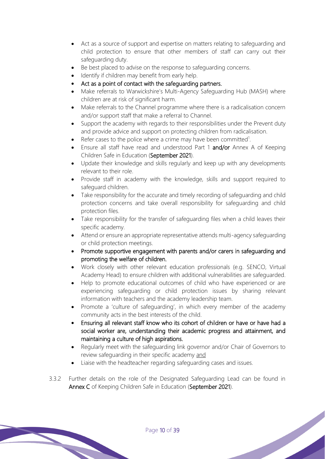- Act as a source of support and expertise on matters relating to safeguarding and child protection to ensure that other members of staff can carry out their safeguarding duty.
- Be best placed to advise on the response to safeguarding concerns.
- Identify if children may benefit from early help.
- Act as a point of contact with the safeguarding partners.
- Make referrals to Warwickshire's Multi-Agency Safeguarding Hub (MASH) where children are at risk of significant harm.
- Make referrals to the Channel programme where there is a radicalisation concern and/or support staff that make a referral to Channel.
- Support the academy with regards to their responsibilities under the Prevent duty and provide advice and support on protecting children from radicalisation.
- Refer cases to the police where a crime may have been committed<sup>1</sup>.
- Ensure all staff have read and understood Part 1 and/or Annex A of Keeping Children Safe in Education (September 2021).
- Update their knowledge and skills regularly and keep up with any developments relevant to their role.
- Provide staff in academy with the knowledge, skills and support required to safeguard children.
- Take responsibility for the accurate and timely recording of safeguarding and child protection concerns and take overall responsibility for safeguarding and child protection files.
- Take responsibility for the transfer of safeguarding files when a child leaves their specific academy.
- Attend or ensure an appropriate representative attends multi-agency safeguarding or child protection meetings.
- Promote supportive engagement with parents and/or carers in safeguarding and promoting the welfare of children.
- Work closely with other relevant education professionals (e.g. SENCO, Virtual Academy Head) to ensure children with additional vulnerabilities are safeguarded.
- Help to promote educational outcomes of child who have experienced or are experiencing safeguarding or child protection issues by sharing relevant information with teachers and the academy leadership team.
- Promote a 'culture of safeguarding', in which every member of the academy community acts in the best interests of the child.
- Ensuringall relevant staff know who its cohort of children or have or have had a social worker are, understanding their academic progress and attainment, and maintaining a culture of high aspirations.
- Regularly meet with the safeguarding link governor and/or Chair of Governors to review safeguarding in their specific academy and

- Liaise with the headteacher regarding safeguarding cases and issues.
- 3.3.2 Further details on the role of the Designated Safeguarding Lead can be found in Annex C of Keeping Children Safe in Education (September 2021).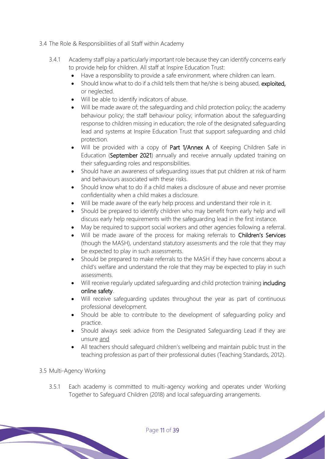- 3.4 The Role & Responsibilities of all Staff within Academy
	- 3.4.1 Academy staff play a particularly important role because they can identify concerns early to provide help for children. All staff atlnspire Education Trust:
		- Have a responsibility to provide a safe environment, where children can learn.
		- Should know what to do if a child tells them that he/she is being abused, exploited, or neglected.
		- Will be able to identify indicators of abuse.
		- Will be made aware of; the safeguarding and child protection policy; the academy behaviour policy; the staff behaviour policy; information about the safeguarding response to children missing in education; the role of the designated safeguarding lead and systems at Inspire Education Trust that support safeguarding and child protection.
		- Will be provided with a copy of Part 1/Annex A of Keeping Children Safe in Education (September 2021) annually and receive annually updated training on their safeguarding roles and responsibilities.
		- Should have an awareness of safeguarding issues that put children at risk of harm and behaviours associated with these risks.
		- Should know what to do if a child makes a disclosure of abuse and never promise confidentiality when a child makes a disclosure.
		- Will be made aware of the early help process and understand their role in it.
		- Should be prepared to identify children who may benefit from early help and will discuss early help requirements with the safeguarding lead in the first instance.
		- May be required to support social workers and other agencies following a referral.
		- Will be made aware of the process for making referrals to Children's Services (though the MASH), understand statutory assessments and the role that they may be expected to play in such assessments.
		- Should be prepared to make referrals to the MASH if they have concerns about a child's welfare and understand the role that they may be expected to play in such assessments.
		- Will receive regularly updated safeguarding and child protection training including online safety.
		- Will receive safeguarding updates throughout the year as part of continuous professional development.
		- Should be able to contribute to the development of safeguarding policy and practice.
		- Should always seek advice from the Designated Safeguarding Lead if they are unsure and
		- All teachers should safeguard children's wellbeing and maintain public trust in the teaching profession as part of their professional duties (Teaching Standards, 2012).

## 3.5 Multi-Agency Working

3.5.1 Each academy is committed to multi-agency working and operates under Working Together to Safeguard Children (2018) and local safeguarding arrangements.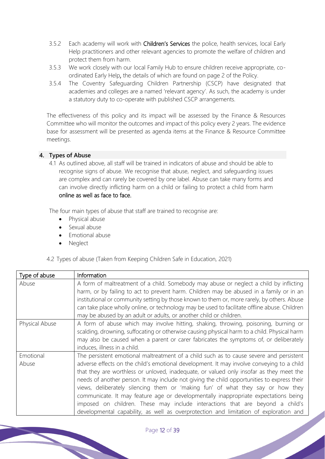- 3.5.2 Each academy will work with Children's Services the police, health services, local Early Help practitioners and other relevant agencies to promote the welfare of children and protect them from harm.
- 3.5.3 We work closely with our local Family Hub to ensure children receive appropriate, coordinated Early Help, the details of which are found on page 2 of the Policy.
- 3.5.4 The Coventry Safeguarding Children Partnership (CSCP) have designated that academies and colleges are a named 'relevant agency'. As such, the academy is under a statutory duty to co-operate with published CSCP arrangements.

The effectiveness of this policy and its impact will be assessed by the Finance & Resources Committee who will monitor the outcomes and impact of this policy every 2 years. The evidence base for assessment will be presented as agenda items at the Finance & Resource Committee meetings.

## **4. Types of Abuse**

4.1 As outlined above, all staff will be trained in indicators of abuse and should be able to recognise signs of abuse. We recognise that abuse, neglect, and safeguarding issues are complex and can rarely be covered by one label. Abuse can take many forms and can involve directly inflicting harm on a child or failing to protect a child from harm online as well as face to face.

The four main types of abuse that staff are trained to recognise are:

- Physical abuse
- Sexual abuse
- Emotional abuse
- **Neglect**

4.2 Types of abuse (Taken from Keeping Children Safe in Education, 2021)

| Type of abuse      | Information                                                                                                                                                                                                                                                                                                                                                                                                                                                                                                                                                                                                                                                                                                                        |
|--------------------|------------------------------------------------------------------------------------------------------------------------------------------------------------------------------------------------------------------------------------------------------------------------------------------------------------------------------------------------------------------------------------------------------------------------------------------------------------------------------------------------------------------------------------------------------------------------------------------------------------------------------------------------------------------------------------------------------------------------------------|
| Abuse              | A form of maltreatment of a child. Somebody may abuse or neglect a child by inflicting<br>harm, or by failing to act to prevent harm. Children may be abused in a family or in an<br>institutional or community setting by those known to them or, more rarely, by others. Abuse<br>can take place wholly online, or technology may be used to facilitate offline abuse. Children<br>may be abused by an adult or adults, or another child or children.                                                                                                                                                                                                                                                                            |
| Physical Abuse     | A form of abuse which may involve hitting, shaking, throwing, poisoning, burning or<br>scalding, drowning, suffocating or otherwise causing physical harm to a child. Physical harm<br>may also be caused when a parent or carer fabricates the symptoms of, or deliberately<br>induces, illness in a child.                                                                                                                                                                                                                                                                                                                                                                                                                       |
| Emotional<br>Abuse | The persistent emotional maltreatment of a child such as to cause severe and persistent<br>adverse effects on the child's emotional development. It may involve conveying to a child<br>that they are worthless or unloved, inadequate, or valued only insofar as they meet the<br>needs of another person. It may include not giving the child opportunities to express their<br>views, deliberately silencing them or 'making fun' of what they say or how they<br>communicate. It may feature age or developmentally inappropriate expectations being<br>imposed on children. These may include interactions that are beyond a child's<br>developmental capability, as well as overprotection and limitation of exploration and |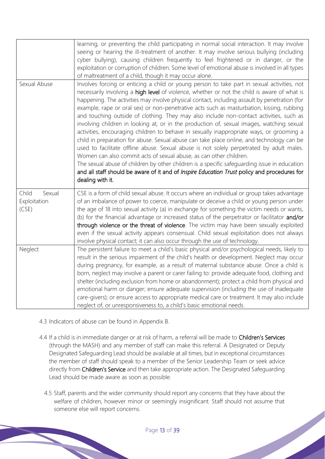|                                          | learning, or preventing the child participating in normal social interaction. It may involve<br>seeing or hearing the ill-treatment of another. It may involve serious bullying (including<br>cyber bullying), causing children frequently to feel frightened or in danger, or the<br>exploitation or corruption of children. Some level of emotional abuse is involved in all types<br>of maltreatment of a child, though it may occur alone.                                                                                                                                                                                                                                                                                                                                                                                                                                                                                                                                                                                                                                                                                                                   |
|------------------------------------------|------------------------------------------------------------------------------------------------------------------------------------------------------------------------------------------------------------------------------------------------------------------------------------------------------------------------------------------------------------------------------------------------------------------------------------------------------------------------------------------------------------------------------------------------------------------------------------------------------------------------------------------------------------------------------------------------------------------------------------------------------------------------------------------------------------------------------------------------------------------------------------------------------------------------------------------------------------------------------------------------------------------------------------------------------------------------------------------------------------------------------------------------------------------|
| Sexual Abuse                             | Involves forcing or enticing a child or young person to take part in sexual activities, not<br>necessarily involving a high level of violence, whether or not the child is aware of what is<br>happening. The activities may involve physical contact, including assault by penetration (for<br>example, rape or oral sex) or non-penetrative acts such as masturbation, kissing, rubbing<br>and touching outside of clothing. They may also include non-contact activities, such as<br>involving children in looking at, or in the production of, sexual images, watching sexual<br>activities, encouraging children to behave in sexually inappropriate ways, or grooming a<br>child in preparation for abuse. Sexual abuse can take place online, and technology can be<br>used to facilitate offline abuse. Sexual abuse is not solely perpetrated by adult males.<br>Women can also commit acts of sexual abuse, as can other children.<br>The sexual abuse of children by other children is a specific safeguarding issue in education<br>and all staff should be aware of it and of Inspire Education Trust policy and procedures for<br>dealing with it. |
| Child<br>Sexual<br>Exploitation<br>(CSE) | CSE is a form of child sexual abuse. It occurs where an individual or group takes advantage<br>of an imbalance of power to coerce, manipulate or deceive a child or young person under<br>the age of 18 into sexual activity (a) in exchange for something the victim needs or wants,<br>(b) for the financial advantage or increased status of the perpetrator or facilitator and/or<br>through violence or the threat of violence. The victim may have been sexually exploited<br>even if the sexual activity appears consensual. Child sexual exploitation does not always<br>involve physical contact; it can also occur through the use of technology.                                                                                                                                                                                                                                                                                                                                                                                                                                                                                                      |
| Neglect                                  | The persistent failure to meet a child's basic physical and/or psychological needs, likely to<br>result in the serious impairment of the child's health or development. Neglect may occur<br>during pregnancy, for example, as a result of maternal substance abuse. Once a child is<br>born, neglect may involve a parent or carer failing to: provide adequate food, clothing and<br>shelter (including exclusion from home or abandonment); protect a child from physical and<br>emotional harm or danger; ensure adequate supervision (including the use of inadequate<br>care-givers); or ensure access to appropriate medical care or treatment. It may also include<br>neglect of, or unresponsiveness to, a child's basic emotional needs.                                                                                                                                                                                                                                                                                                                                                                                                               |

- 4.3 Indicators of abuse can be found in Appendix B.
- 4.4 If a child is in immediate danger or at risk of harm, a referral will be made to Children's Services (through the MASH) and any member of staff can make this referral. A Designated or Deputy Designated Safeguarding Lead should be available at all times, but in exceptional circumstances the member of staff should speak to a member of the Senior Leadership Team or seek advice directly from Children's Service and then take appropriate action. The Designated Safeguarding Lead should be made aware as soon as possible.
	- 4.5 Staff, parents and the wider community should report any concerns that they have about the welfare of children, however minor or seemingly insignificant. Staff should not assume that someone else will report concerns.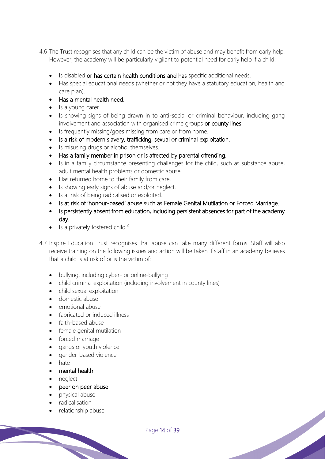- 4.6 The Trust recognises that any child can be the victim of abuse and may benefit from early help. However, the academy will be particularly vigilant to potential need for early help if a child:
	- Is disabled or has certain health conditions and has specific additional needs.
	- Has special educational needs (whether or not they have a statutory education, health and care plan).
	- Has a mental health need.
	- Is a young carer.
	- Is showing signs of being drawn in to anti-social or criminal behaviour, including gang involvement and association with organised crime groups or county lines.
	- Is frequently missing/goes missing from care or from home.
	- Is a risk of modern slavery, trafficking, sexual or criminal exploitation.
	- Is misusing drugs or alcohol themselves.
	- Has a family member in prison or is affected by parental offending.
	- Is in a family circumstance presenting challenges for the child, such as substance abuse, adult mental health problems or domestic abuse.
	- Has returned home to their family from care.
	- Is showing early signs of abuse and/or neglect.
	- Is at risk of being radicalised or exploited.
	- Is at risk of 'honour-based' abuse such as Female Genital Mutilation or Forced Marriage.
	- Is persistently absent from education, including persistent absences for part of the academy day.
	- Is a privately fostered child.<sup>2</sup>
- 4.7 Inspire Education Trustrecognises that abuse can take many different forms. Staff will also receive training on the following issues and action will be taken if staff in an academybelieves that a child is at risk of or is the victim of:
	- bullying, including cyber- or online-bullying
	- child criminal exploitation (including involvement in county lines)
	- child sexual exploitation
	- domestic abuse
	- emotional abuse
	- fabricated or induced illness
	- faith-based abuse
	- female genital mutilation
	- forced marriage
	- gangs or youth violence
	- gender-based violence
	- hate
	- mental health
	- neglect
	- peer on peer abuse
	- physical abuse
	- radicalisation
	- relationship abuse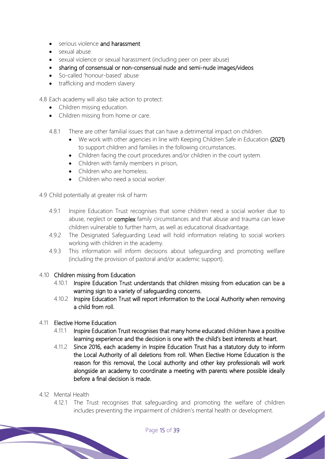- serious violence and harassment
- sexual abuse
- sexual violence or sexual harassment (including peer on peer abuse)
- sharing of consensual or non-consensual nude and semi-nude images/videos
- So-called 'honour-based' abuse
- trafficking and modern slavery

4.8 Each academy will also take action to protect:

- Children missing education.
- Children missing from home or care.
- 4.8.1 There are other familial issues that can have a detrimental impact on children.
	- We work with other agencies in line with Keeping Children Safe in Education (2021) to support children and families in the following circumstances.
	- Children facing the court procedures and/or children in the court system.
	- Children with family members in prison,
	- Children who are homeless.
	- Children who need a social worker
- 4.9 Child potentially at greater risk of harm
	- 4.9.1 Inspire Education Trust recognises that some children need a social worker due to abuse, neglect or **complex** family circumstances and that abuse and trauma can leave children vulnerable to further harm, as well as educational disadvantage.
	- 4.9.2 The Designated Safeguarding Lead will hold information relating to social workers working with children in the academy.
	- 4.9.3 This information will inform decisions about safeguarding and promoting welfare (including the provision of pastoral and/or academic support).

#### 4.10 Children missing from Education

- 4.10.1 Inspire Education Trust understands that children missing from education can be a warning sign to a variety of safeguarding concerns.
- 4.10.2 Inspire Education Trust will report information to the Local Authority when removing a child from roll.

## 4.11 Elective Home Education

- 4.11.1 Inspire Education Trust recognises that many home educated children have a positive learning experience and the decision is one with the child's best interests at heart.
- 4.11.2 Since 2016, each academy in Inspire Education Trust has a statutory duty to inform the Local Authority of all deletions from roll. When Elective Home Education is the reason for this removal, the Local authority and other key professionals will work alongside an academy to coordinate a meeting with parents where possible ideally before a final decision is made.

#### 4.12 Mental Health

4.12.1 The Trust recognises that safeguarding and promoting the welfare of children includes preventing the impairment of children's mental health or development.<br>Page 15 of 39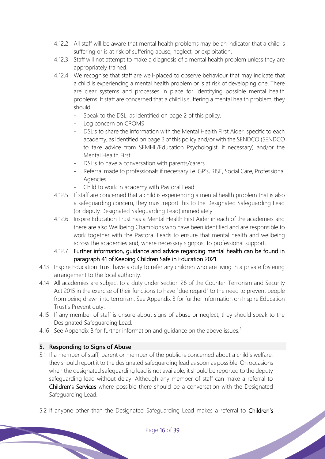- 4.12.2 All staff will be aware that mental health problems may be an indicator that a child is suffering or is at risk of suffering abuse, neglect, or exploitation.
- 4.12.3 Staff will not attempt to make a diagnosis of a mental health problem unless they are appropriately trained.
- 4.12.4 We recognise that staff are well-placed to observe behaviour that may indicate that a child is experiencing a mental health problem or is at risk of developing one. There are clear systems and processes in place for identifying possible mental health problems. If staff are concerned that a child is suffering a mental health problem, they should:
	- Speak to the DSL, as identified on page 2 of this policy.
	- Log concern on CPOMS
	- DSL's to share the information with the Mental Health First Aider, specific to each academy, as identified on page 2 of this policy and/or with the SENDCO (SENDCO to take advice from SEMHL/Education Psychologist, if necessary) and/or the Mental Health First
	- DSL's to have a conversation with parents/carers
	- Referral made to professionals if necessary i.e. GP's, RISE, Social Care, Professional Agencies
	- Child to work in academy with Pastoral Lead
- 4.12.5 If staff are concerned that a child is experiencing a mental health problem that is also a safeguarding concern, they must report this to the Designated Safeguarding Lead (or deputy Designated Safeguarding Lead) immediately.
- 4.12.6 Inspire Education Trust has a Mental Health First Aider in each of the academies and there are also Wellbeing Champions who have been identified and are responsible to work together with the Pastoral Leads to ensure that mental health and wellbeing across the academies and, where necessary signpost to professional support.
- 4.12.7 Further information, guidance and advice regarding mental health can be found in paragraph 41 of Keeping Children Safe in Education 2021.
- 4.13 Inspire Education Trusthave a duty to refer any children who are living in a private fostering arrangement to the local authority.
- 4.14 All academies are subject to a duty under section 26 of the Counter-Terrorism and Security Act 2015 in the exercise of their functions to have "due regard" to the need to prevent people from being drawn into terrorism. See Appendix B for further information on Inspire Education Trust's Prevent duty.
- 4.15 If any member of staff is unsure about signs of abuse or neglect, they should speak to the Designated Safeguarding Lead.
- 4.16 See Appendix B for further information and quidance on the above issues.<sup>3</sup>

## **5. Responding to Signs of Abuse**

- 5.1 If a member of staff, parent or member of the public is concerned about a child's welfare, they should report it to the designated safeguarding lead as soon as possible. On occasions when the designated safeguarding lead is not available, it should be reported to the deputy safeguarding lead without delay. Although any member of staff can make a referral to Children's Services where possible there should be a conversation with the Designated Safeguarding Lead.
- 5.2 If anyone other than the Designated Safeguarding Lead makes a referral to Children's<br>Page 16 of 39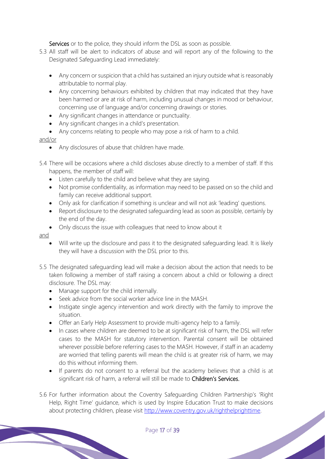Services or to the police, they should inform the DSL as soon as possible.

- 5.3 All staff will be alert to indicators of abuse and will report any of the following to the Designated Safeguarding Lead immediately:
	- Any concern or suspicion that a child has sustained an injury outside what is reasonably attributable to normal play.
	- Any concerning behaviours exhibited by children that may indicated that they have been harmed or are at risk of harm, including unusual changes in mood or behaviour, concerning use of language and/or concerning drawings or stories.
	- Any significant changes in attendance or punctuality.
	- Any significant changes in a child's presentation.
	- Any concerns relating to people who may pose a risk of harm to a child.

#### and/or

- Any disclosures of abuse that children have made.
- 5.4 There will be occasions where a child discloses abuse directly to a member of staff. If this happens, the member of staff will:
	- Listen carefully to the child and believe what they are saying.
	- Not promise confidentiality, as information may need to be passed on so the child and family can receive additional support.
	- Only ask for clarification if something is unclear and will not ask 'leading' questions.
	- Report disclosure to the designated safeguarding lead as soon as possible, certainly by the end of the day.
	- Only discuss the issue with colleagues that need to know about it

#### and

- Will write up the disclosure and pass it to the designated safeguarding lead. It is likely they will have a discussion with the DSL prior to this.
- 5.5 The designated safeguarding lead will make a decision about the action that needs to be taken following a member of staff raising a concern about a child or following a direct disclosure. The DSL may:
	- Manage support for the child internally.
	- Seek advice from the social worker advice line in the MASH.
	- Instigate single agency intervention and work directly with the family to improve the situation.
	- Offer an Early Help Assessment to provide multi-agency help to a family.
	- In cases where children are deemed to be at significant risk of harm, the DSL will refer cases to the MASH for statutory intervention. Parental consent will be obtained wherever possible before referring cases to the MASH. However, if staff in an academy are worried that telling parents will mean the child is at greater risk of harm, we may do this without informing them.
	- If parents do not consent to a referral but the academy believes that a child is at significant risk of harm, a referral will still be made to Children's Services.
- 5.6 For further information about the Coventry Safeguarding Children Partnership's 'Right Help, Right Time' guidance, which is used byInspire Education Trust to make decisions about protecting children, please visit http://www.coventry.gov.uk/righthelprighttime.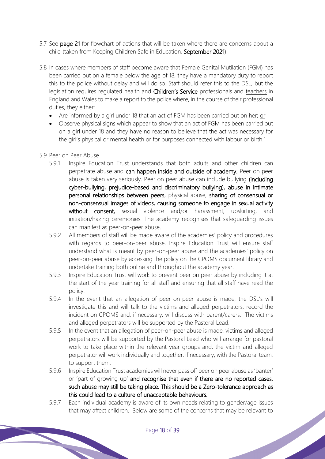- 5.7 See page 21 for flowchart of actions that will be taken where there are concerns about a child (taken from Keeping Children Safe in Education, September 2021).
- 5.8 In cases where members of staff become aware that Female Genital Mutilation (FGM) has been carried out on a female below the age of 18, they have a mandatory duty to report this to the police without delay and will do so. Staff should refer this to the DSL, but the legislation requires regulated health and Children's Service professionals and teachers in England and Wales to make a report to the police where, in the course of their professional duties, they either:
	- Are informed by a girl under 18 that an act of FGM has been carried out on her; or
	- Observe physical signs which appear to show that an act of FGM has been carried out on a girl under 18 and they have no reason to believe that the act was necessary for the girl's physical or mental health or for purposes connected with labour or birth.<sup>4</sup>
- 5.9 Peer on Peer Abuse
	- 5.9.1 Inspire Education Trust understands that both adults and other children can perpetrate abuse and can happen inside and outside of academy. Peer on peer abuse is taken very seriously. Peer on peer abuse can include bullying (including cyber-bullying, prejudice-based and discriminatory bullying), abuse in intimate personal relationships between peers, physical abuse, sharing of consensual or non-consensual images of videos, causing someone to engage in sexual activity without consent, sexual violence and/or harassment, upskirting, and initiation/hazing ceremonies. The academy recognises that safeguarding issues can manifest as peer-on-peer abuse.
	- 5.9.2 All members of staff will be made aware of the academies' policy and procedures with regards to peer-on-peer abuse. Inspire Education Trust will ensure staff understand what is meant by peer-on-peer abuse and the academies' policy on peer-on-peer abuse by accessing the policy on the CPOMS document library and undertake training both online and throughout the academy year.
	- 5.9.3 Inspire Education Trust will work to prevent peer on peer abuse by including it at the start of the year training for all staff and ensuring that all staff have read the policy.
	- 5.9.4 In the event that an allegation of peer-on-peer abuse is made, the DSL's will investigate this and will talk to the victims and alleged perpetrators, record the incident on CPOMS and, if necessary, will discuss with parent/carers. The victims and alleged perpetrators will be supported by the Pastoral Lead.
	- 5.9.5 In the event that an allegation of peer-on-peer abuse is made, victims and alleged perpetrators will be supported by the Pastoral Lead who will arrange for pastoral work to take place within the relevant year groups and, the victim and alleged perpetrator will work individually and together, if necessary, with the Pastoral team, to support them.
	- 5.9.6 Inspire Education Trust academies will never pass off peer on peer abuse as 'banter' or 'part of growing up' and recognise that even if there are no reported cases, such abuse may still be taking place. This should be a Zero-tolerance approach as this could lead to a culture of unacceptable behaviours.
	- 5.9.7 Each individual academy is aware of its own needs relating to gender/age issues that may affect children. Below are some of the concerns that may be relevant to<br>Page 18 of 39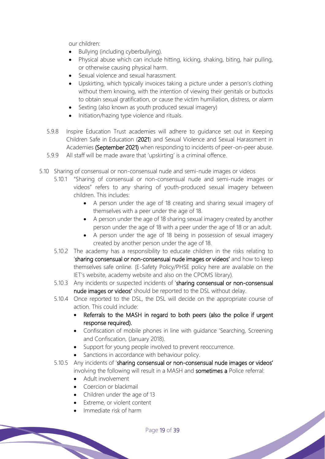our children:

- Bullying (including cyberbullying).
- Physical abuse which can include hitting, kicking, shaking, biting, hair pulling, or otherwise causing physical harm.
- Sexual violence and sexual harassment.
- Upskirting, which typically invoices taking a picture under a person's clothing without them knowing, with the intention of viewing their genitals or buttocks to obtain sexual gratification, or cause the victim humiliation, distress, or alarm
- Sexting (also known as youth produced sexual imagery)
- Initiation/hazing type violence and rituals.
- 5.9.8 Inspire Education Trust academies will adhere to guidance set out in Keeping Children Safe in Education (2021) and Sexual Violence and Sexual Harassment in Academies (September 2021) when responding to incidents of peer-on-peer abuse.
- 5.9.9 All staff will be made aware that 'upskirting' is a criminal offence.
- 5.10 Sharing of consensual or non-consensual nude and semi-nude images or videos
	- 5.10.1 "Sharing of consensual or non-consensual nude and semi-nude images or videos" refers to any sharing of youth-produced sexual imagery between children. This includes:
		- A person under the age of 18 creating and sharing sexual imagery of themselves with a peer under the age of 18.
		- A person under the age of 18 sharing sexual imagery created by another person under the age of 18 with a peer under the age of 18 or an adult.
		- A person under the age of 18 being in possession of sexual imagery created by another person under the age of 18.
		- 5.10.2 The academy has a responsibility to educate children in the risks relating to 'sharing consensual or non-consensual nude images or videos' and how to keep themselves safe online. (E-Safety Policy/PHSE policy here are available on the IET's website, academy website and also on the CPOMS library).
		- 5.10.3 Any incidents or suspected incidents of 'sharing consensual or non-consensual nude images or videos' should be reported to the DSL without delay.
		- 5.10.4 Once reported to the DSL, the DSL will decide on the appropriate course of action. This could include:
			- Referrals to the MASH in regard to both peers (also the police if urgent response required).
			- Confiscation of mobile phones in line with guidance 'Searching, Screening and Confiscation, (January 2018).
			- Support for young people involved to prevent reoccurrence.
			- Sanctions in accordance with behaviour policy.
		- 5.10.5 Any incidents of 'sharing consensual or non-consensual nude images or videos' involving the following will result in a MASH and sometimes a Police referral:
			- Adult involvement
			- Coercion or blackmail
			- Children under the age of 13
			- Extreme, or violent content
			- Immediate risk of harm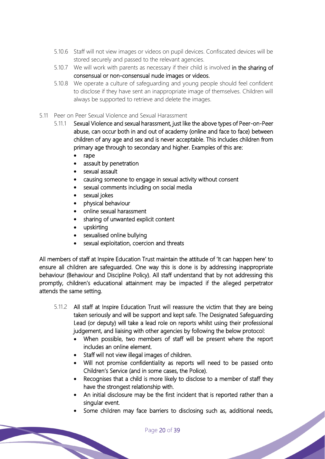- 5.10.6 Staff will not view images or videos on pupil devices. Confiscated devices will be stored securely and passed to the relevant agencies.
- 5.10.7 We will work with parents as necessary if their child is involved in the sharing of consensual or non-consensual nude images or videos.
- 5.10.8 We operate a culture of safeguarding and young people should feel confident to disclose if they have sent an inappropriate image of themselves. Children will always be supported to retrieve and delete the images.
- 5.11 Peer on Peer Sexual Violence and Sexual Harassment
	- 5.11.1 Sexual Violence and sexual harassment, just like the above types of Peer-on-Peer abuse, can occur both in and out of academy (online and face to face) between children of any age and sex and is never acceptable. This includes children from primary age through to secondary and higher. Examples of this are:
		- rape
		- assault by penetration
		- sexual assault
		- causing someone to engage in sexual activity without consent
		- sexual comments including on social media
		- sexual jokes
		- physical behaviour
		- online sexual harassment
		- sharing of unwanted explicit content
		- upskirting
		- sexualised online bullying
		- sexual exploitation, coercion and threats

All members of staff at Inspire Education Trust maintain the attitude of 'It can happen here' to ensure all children are safeguarded. One way this is done is by addressing inappropriate behaviour (Behaviour and Discipline Policy). All staff understand that by not addressing this promptly, children's educational attainment may be impacted if the alleged perpetrator attends the same setting.

- 5.11.2 All staff at Inspire Education Trust will reassure the victim that they are being taken seriously and will be support and kept safe. The Designated Safeguarding Lead (or deputy) will take a lead role on reports whilst using their professional judgement, and liaising with other agencies by following the below protocol:
	- When possible, two members of staff will be present where the report includes an online element.
	- Staff will not view illegal images of children.
	- Will not promise confidentiality as reports will need to be passed onto Children's Service (and in some cases, the Police).
	- Recognises that a child is more likely to disclose to a member of staff they have the strongest relationship with.
	- An initial disclosure may be the first incident that is reported rather than a singular event.
	- Some children may face barriers to disclosing such as, additional needs,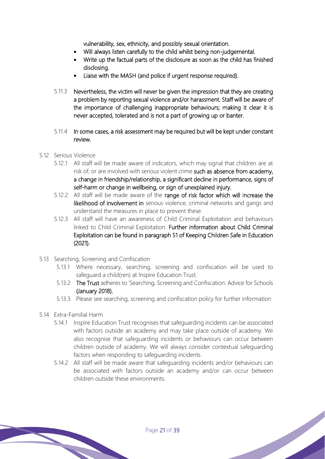vulnerability, sex, ethnicity, and possibly sexual orientation.

- Will always listen carefully to the child whilst being non-judgemental.
- Write up the factual parts of the disclosure as soon as the child has finished disclosing.
- Liaise with the MASH (and police if urgent response required).
- 5.11.3 Nevertheless, the victim will never be given the impression that they are creating a problem by reporting sexual violence and/or harassment. Staff will be aware of the importance of challenging inappropriate behaviours; making it clear it is never accepted, tolerated and is not a part of growing up or banter.
- 5.11.4 In some cases, a risk assessment may be required but will be kept under constant review.
- 5.12 Serious Violence
	- 5.12.1 All staff will be made aware of indicators, which may signal that children are at risk of, or are involved with serious violent crime such as absence from academy, a change in friendship/relationship, a significant decline in performance, signs of self-harm or change in wellbeing, or sign of unexplained injury.
	- 5.12.2 All staff will be made aware of the range of risk factor which will increase the likelihood of involvement in serious violence, criminal networks and gangs and understand the measures in place to prevent these.
	- 5.12.3 All staff will have an awareness of Child Criminal Exploitation and behaviours linked to Child Criminal Exploitation. Further information about Child Criminal Exploitation can be found in paragraph 51 of Keeping Children Safe in Education (2021).
- 5.13 Searching, Screening and Confiscation
	- 5.13.1 Where necessary, searching, screening and confiscation will be used to safeguard a child(ren) atInspire Education Trust.
	- 5.13.2 The Trust adheres to 'Searching, Screening and Confiscation: Advice for Schools (January 2018).
	- 5.13.3 Please see searching, screening and confiscation policy for further information
- 5.14 Extra-Familial Harm
	- 5.14.1 Inspire Education Trust recognises that safeguarding incidents can be associated with factors outside an academy and may take place outside of academy. We also recognise that safeguarding incidents or behaviours can occur between children outside of academy. We will always consider contextual safeguarding factors when responding to safeguarding incidents.
	- 5.14.2 All staff will be made aware that safeguarding incidents and/or behaviours can be associated with factors outside an academy and/or can occur between children outside these environments.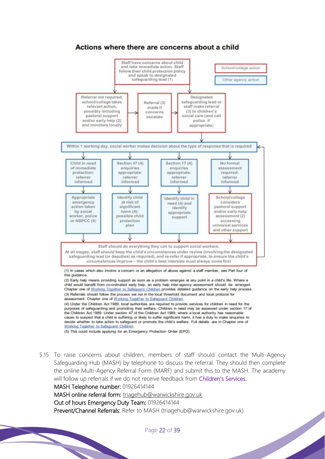

5.15 To raise concerns about children, members of staff should contact the Multi-Agency Safeguarding Hub (MASH) by telephone to discuss the referral. They should then complete the online Multi-Agency Referral Form (MARF) and submit this to the MASH. The academy will follow up referrals if we do not receive feedback from Children's Services.

MASH Telephone number: 01926414144

MASH online referral form: triagehub@warwickshire.gov.uk

Out of hours Emergency Duty Team: 01926414144

Prevent/Channel Referrals: Refer to MASH (triagehub@warwickshire.gov.uk)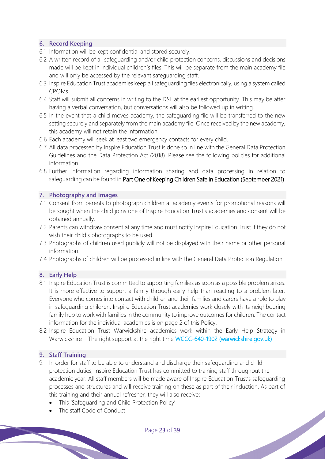## **6. Record Keeping**

- 6.1 Information will be kept confidential and stored securely.
- 6.2 A written record of all safeguarding and/or child protection concerns, discussions and decisions made will be kept in individual children's files. This will be separate from the main academy file and will only be accessed by the relevant safeguarding staff.
- 6.3 Inspire Education Trust academies keep all safeguarding files electronically, using a system called CPOMs.
- 6.4 Staff will submit all concerns in writing to the DSL at the earliest opportunity. This may be after having a verbal conversation, but conversations will also be followed up in writing.
- 6.5 In the event that a child moves academy, the safeguarding file will be transferred to the new setting securely and separately from the main academy file. Once received by the new academy, this academy will not retain the information.
- 6.6 Each academy will seek at least two emergency contacts for every child.
- 6.7 All data processed by Inspire Education Trust is done so in line with the General Data Protection Guidelines and the Data Protection Act (2018). Please see the following policies for additional information.
- 6.8 Further information regarding information sharing and data processing in relation to safeguarding can be found in Part One of Keeping Children Safe in Education (September 2021).

## **7. Photography and Images**

- 7.1 Consent from parents to photograph children at academy events for promotional reasons will be sought when the child joins one of Inspire Education Trust's academies and consent will be obtained annually.
- 7.2 Parents can withdraw consent at any time and must notify Inspire Education Trust if they do not wish their child's photographs to be used.
- 7.3 Photographs of children used publicly will not be displayed with their name or other personal information.
- 7.4 Photographs of children will be processed in line with the General Data Protection Regulation.

## **8. Early Help**

- 8.1 Inspire Education Trust is committed to supporting families as soon as a possible problem arises. It is more effective to support a family through early help than reacting to a problem later. Everyone who comes into contact with children and their families and carers have a role to play in safeguarding children. Inspire Education Trust academies work closely with its neighbouring family hub to work with families in the community to improve outcomes for children. The contact information for the individual academies is on page 2 of this Policy.
- 8.2 Inspire Education Trust Warwickshire academies work within the Early Help Strategy in Warwickshire – The right support at the right time WCCC-640-1902 (warwickshire.gov.uk)

#### **9. Staff Training**

- 9.1 In order for staff to be able to understand and discharge their safeguarding and child protection duties, Inspire Education Trust has committed to training staff throughout the academic year. All staff members will be made aware of Inspire Education Trust's safeguarding processes and structures and will receive training on these as part of their induction. As part of this training and their annual refresher, they will also receive:
	- This 'Safeguarding and Child Protection Policy'
	- The staff Code of Conduct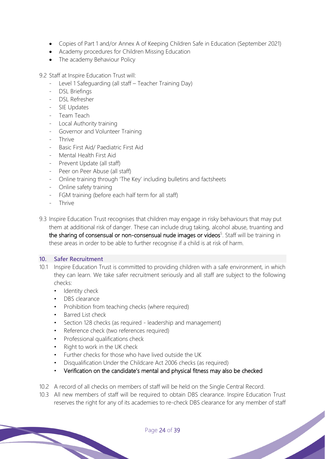- Copies of Part 1 and/or Annex A of Keeping Children Safe in Education (September 2021)
- Academy procedures for Children Missing Education
- The academy Behaviour Policy
- 9.2 Staff at Inspire Education Trust will:
	- Level 1 Safeguarding (all staff Teacher Training Day)
	- DSL Briefings
	- DSL Refresher
	- SIE Updates
	- Team Teach
	- Local Authority training
	- Governor and Volunteer Training
	- Thrive
	- Basic First Aid/ Paediatric First Aid
	- Mental Health First Aid
	- Prevent Update (all staff)
	- Peer on Peer Abuse (all staff)
	- Online training through 'The Key' including bulletins and factsheets
	- Online safety training
	- FGM training (before each half term for all staff)
	- Thrive
- 9.3 Inspire Education Trust recognises that children may engage in risky behaviours that may put them at additional risk of danger. These can include drug taking, alcohol abuse, truanting and the sharing of consensual or non-consensual nude images or videos<sup>5</sup>. Staff will be training in these areas in order to be able to further recognise if a child is at risk of harm.

#### **10. Safer Recruitment**

- 10.1 Inspire Education Trust is committed to providing children with a safe environment, in which they can learn. We take safer recruitment seriously and all staff are subject to the following checks:
	- Identity check
	- DBS clearance
	- Prohibition from teaching checks (where required)
	- Barred List check
	- Section 128 checks (as required leadership and management)
	- Reference check (two references required)
	- Professional qualifications check
	- Right to work in the UK check
	- Further checks for those who have lived outside the UK
	- Disqualification Under the Childcare Act 2006 checks (as required)
	- Verification on the candidate's mental and physical fitness may also be checked
- 10.2 A record of all checks on members of staff will be held on the Single Central Record.
- 10.3 All new members of staff will be required to obtain DBS clearance. Inspire Education Trust reserves the right for any of its academies to re-check DBS clearance for any member of staff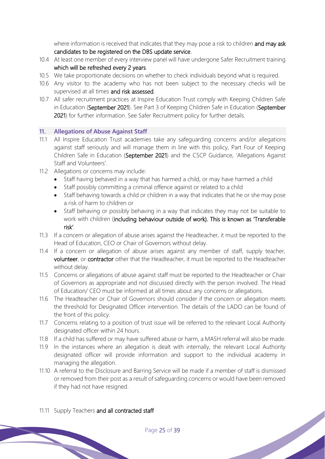where information is received that indicates that they may pose a risk to children and may ask candidates to be registered on the DBS update service.

- 10.4 At least one member of every interview panel will have undergone Safer Recruitment training which will be refreshed every 2 years.
- 10.5 We take proportionate decisions on whether to check individuals beyond what is required.
- 10.6 Any visitor to the academy who has not been subject to the necessary checks will be supervised at all times and risk assessed.
- 10.7 All safer recruitment practices at Inspire Education Trust comply with Keeping Children Safe in Education (September 2021). See Part 3 of Keeping Children Safe in Education (September 2021) for further information. See Safer Recruitment policy for further details.

## **11. Allegations of Abuse Against Staff**

- 11.1 All Inspire Education Trust academies take any safeguarding concerns and/or allegations against staff seriously and will manage them in line with this policy, Part Four of Keeping Children Safe in Education (September 2021) and the CSCP Guidance, 'Allegations Against Staff and Volunteers'.
- 11.2 Allegations or concerns may include:
	- Staff having behaved in a way that has harmed a child, or may have harmed a child
	- Staff possibly committing a criminal offence against or related to a child
	- Staff behaving towards a child or children in a way that indicates that he or she may pose a risk of harm to children or
	- Staff behaving or possibly behaving in a way that indicates they may not be suitable to work with children (including behaviour outside of work). This is known as 'Transferable risk'.
- 11.3 If a concern or allegation of abuse arises against the Headteacher, it must be reported to the Head of Education, CEO or Chair of Governors without delay.
- 11.4 If a concern or allegation of abuse arises against any member of staff, supply teacher, volunteer, or contractor other that the Headteacher, it must be reported to the Headteacher without delay.
- 11.5 Concerns or allegations of abuse against staff must be reported to the Headteacher or Chair of Governors as appropriate and not discussed directly with the person involved. The Head of Education/ CEO must be informed at all times about any concerns or allegations.
- 11.6 The Headteacher or Chair of Governors should consider if the concern or allegation meets the threshold for Designated Officer intervention. The details of the LADO can be found of the front of this policy.
- 11.7 Concerns relating to a position of trust issue will be referred to the relevant Local Authority designated officer within 24 hours.
- 11.8 If a child has suffered or may have suffered abuse or harm, a MASH referral will also be made.
- 11.9 In the instances where an allegation is dealt with internally, the relevant Local Authority designated officer will provide information and support to the individual academy in managing the allegation.
- 11.10 A referral to the Disclosure and Barring Service will be made if a member of staff is dismissed or removed from their post as a result of safeguarding concerns or would have been removed if they had not have resigned.

## 11.11 Supply Teachers and all contracted staff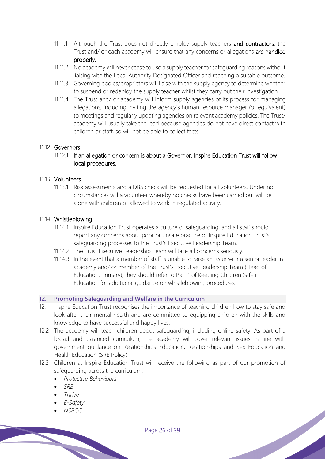- 11.11.1 Although the Trust does not directly employ supply teachers and contractors, the Trust and/ or each academy will ensure that any concerns or allegations are handled properly.
- 11.11.2 No academy will never cease to use a supply teacher for safeguarding reasons without liaising with the Local Authority Designated Officer and reaching a suitable outcome.
- 11.11.3 Governing bodies/proprietors will liaise with the supply agency to determine whether to suspend or redeploy the supply teacher whilst they carry out their investigation.
- 11.11.4 The Trust and/ or academy will inform supply agencies of its process for managing allegations, including inviting the agency's human resource manager (or equivalent) to meetings and regularly updating agencies on relevant academy policies. The Trust/ academy will usually take the lead because agencies do not have direct contact with children or staff, so will not be able to collect facts.

## 11.12 Governors

11.12.1 If an allegation or concern is about a Governor, Inspire Education Trust will follow local procedures.

#### 11.13 Volunteers

11.13.1 Risk assessments and a DBS check will be requested for all volunteers. Under no circumstances will a volunteer whereby no checks have been carried out will be alone with children or allowed to work in regulated activity.

#### 11.14 Whistleblowing

- 11.14.1 Inspire Education Trust operates a culture of safeguarding, and all staff should report any concerns about poor or unsafe practice or Inspire Education Trust's safeguarding processes to the Trust's Executive Leadership Team.
- 11.14.2 The Trust Executive Leadership Team will take all concerns seriously.
- 11.14.3 In the event that a member of staff is unable to raise an issue with a senior leader in academy and/ or member of the Trust's Executive Leadership Team (Head of Education, Primary), they should refer to Part 1 of Keeping Children Safe in Education for additional guidance on whistleblowing procedures

#### **12. Promoting Safeguarding and Welfare in the Curriculum**

- 12.1 Inspire Education Trust recognises the importance of teaching children how to stay safe and look after their mental health and are committed to equipping children with the skills and knowledge to have successful and happy lives.
- 12.2 The academy will teach children about safeguarding, including online safety. As part of a broad and balanced curriculum, the academy will cover relevant issues in line with government guidance on Relationships Education, Relationships and Sex Education and Health Education (SRE Policy)
- 12.3 Children at Inspire Education Trust will receive the following as part of our promotion of safeguarding across the curriculum:
	- *Protective Behaviours*
	- *SRE*
	- *Thrive*
	- *E-Safety*
	- *NSPCC*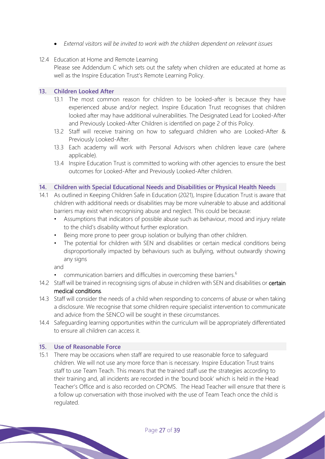- *External visitors will be invited to work with the children dependent on relevant issues*
- 12.4 Education at Home and Remote Learning
	- Please see Addendum C which sets out the safety when children are educated at home as well as the Inspire Education Trust's Remote Learning Policy.

#### **13. Children Looked After**

- 13.1 The most common reason for children to be looked-after is because they have experienced abuse and/or neglect. Inspire Education Trust recognises that children looked after may have additional vulnerabilities. The Designated Lead for Looked-After and Previously Looked-After Children is identified on page 2 of this Policy.
- 13.2 Staff will receive training on how to safeguard children who are Looked-After & Previously Looked-After.
- 13.3 Each academy will work with Personal Advisors when children leave care (where applicable).
- 13.4 Inspire Education Trust is committed to working with other agencies to ensure the best outcomes for Looked-After and Previously Looked-After children.

#### **14. Children with Special Educational Needs and Disabilities or Physical Health Needs**

- 14.1 As outlined in Keeping Children Safe in Education (2021), Inspire Education Trust is aware that children with additional needs or disabilities may be more vulnerable to abuse and additional barriers may exist when recognising abuse and neglect. This could be because:
	- Assumptions that indicators of possible abuse such as behaviour, mood and injury relate to the child's disability without further exploration.
	- Being more prone to peer group isolation or bullying than other children.
	- The potential for children with SEN and disabilities or certain medical conditions being disproportionally impacted by behaviours such as bullying, without outwardly showing any signs

#### and

- communication barriers and difficulties in overcoming these barriers.<sup>6</sup>
- 14.2 Staff will be trained in recognising signs of abuse in children with SEN and disabilities or certain medical conditions.
- 14.3 Staff will consider the needs of a child when responding to concerns of abuse or when taking a disclosure. We recognise that some children require specialist intervention to communicate and advice from the SENCO will be sought in these circumstances.
- 14.4 Safeguarding learning opportunities within the curriculum will be appropriately differentiated to ensure all children can access it.

#### **15. Use of Reasonable Force**

15.1 There may be occasions when staff are required to use reasonable force to safeguard children. We will not use any more force than is necessary. Inspire Education Trust trains staff to use Team Teach. This means that the trained staff use the strategies according to their training and, all incidents are recorded in the 'bound book' which is held in the Head Teacher's Office and is also recorded on CPOMS. The Head Teacher will ensure that there is a follow up conversation with those involved with the use of Team Teach once the child is regulated.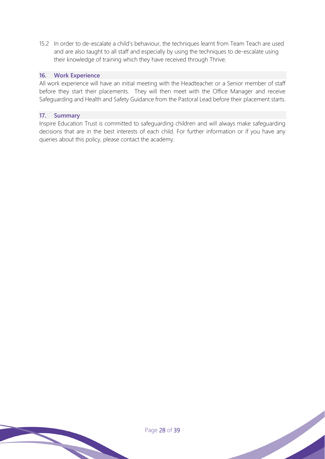15.2 In order to de-escalate a child's behaviour, the techniques learnt from Team Teach are used and are also taught to all staff and especially by using the techniques to de-escalate using their knowledge of training which they have received through Thrive.

#### **16. Work Experience**

All work experience will have an initial meeting with the Headteacher or a Senior member of staff before they start their placements. They will then meet with the Office Manager and receive Safeguarding and Health and Safety Guidance from the Pastoral Lead before their placement starts.

## **17. Summary**

Inspire Education Trust is committed to safeguarding children and will always make safeguarding decisions that are in the best interests of each child. For further information or if you have any queries about this policy, please contact the academy.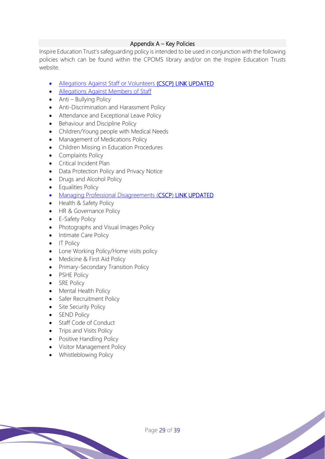## Appendix A – Key Policies

Inspire Education Trust's safeguarding policy is intended to be used in conjunction with the following policies which can be found within the CPOMS library and/or on the Inspire Education Trusts website.

- Allegations Against Staff or Volunteers (CSCP) LINK UPDATED
- Allegations Against Members of Staff
- Anti Bullying Policy
- Anti-Discrimination and Harassment Policy
- Attendance and Exceptional Leave Policy
- Behaviour and Discipline Policy
- Children/Young people with Medical Needs
- Management of Medications Policy
- Children Missing in Education Procedures
- Complaints Policy
- Critical Incident Plan
- Data Protection Policy and Privacy Notice
- Drugs and Alcohol Policy
- Equalities Policy
- Managing Professional Disagreements (CSCP) LINK UPDATED
- Health & Safety Policy
- HR & Governance Policy
- E-Safety Policy
- Photographs and Visual Images Policy
- Intimate Care Policy
- IT Policy
- Lone Working Policy/Home visits policy
- Medicine & First Aid Policy
- Primary-Secondary Transition Policy
- PSHE Policy
- SRE Policy
- Mental Health Policy
- Safer Recruitment Policy
- Site Security Policy
- SEND Policy
- Staff Code of Conduct
- Trips and Visits Policy
- Positive Handling Policy
- Visitor Management Policy
- Whistleblowing Policy

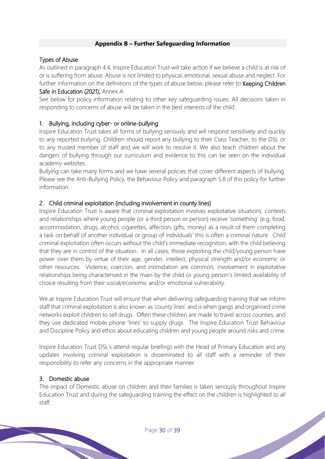## **Appendix B – Further Safeguarding Information**

## Types of Abuse

As outlined in paragraph 4.4, Inspire Education Trust will take action if we believe a child is at risk of or is suffering from abuse. Abuse is not limited to physical, emotional, sexual abuse and neglect. For further information on the definitions of the types of abuse below, please refer to **Keeping Children** Safe in Education (2021), Annex A.

See below for policy information relating to other key safeguarding issues. All decisions taken in responding to concerns of abuse will be taken in the best interests of the child.

## 1. Bullying, including cyber- or online-bullying

Inspire Education Trust takes all forms of bullying seriously and will respond sensitively and quickly to any reported bullying. Children should report any bullying to their Class Teacher, to the DSL or to any trusted member of staff and we will work to resolve it. We also teach children about the dangers of bullying through our curriculum and evidence to this can be seen on the individual academy websites.

Bullying can take many forms and we have several policies that cover different aspects of bullying. Please see the Anti-Bullying Policy, the Behaviour Policy and paragraph 5.8 of this policy for further information.

## 2. Child criminal exploitation (including involvement in county lines)

Inspire Education Trust is aware that criminal exploitation involves exploitative situations, contexts and relationships where young people (or a third person or person) receive 'something' (e.g. food, accommodation, drugs, alcohol, cigarettes, affection, gifts, money) as a result of them completing a task on behalf of another individual or group of individuals' this is often a criminal nature. Child criminal exploitation often occurs without the child's immediate recognition, with the child believing that they are in control of the situation. In all cases, those exploiting the child/young person have power over them by virtue of their age, gender, intellect, physical strength and/or economic or other resources. Violence, coercion, and intimidation are common, involvement in exploitative relationships being characterised in the main by the child or young person's limited availability of choice resulting from their social/economic and/or emotional vulnerability.

We at Inspire Education Trust will ensure that when delivering safeguarding training that we inform staff that criminal exploitation is also known as 'county lines' and is when gangs and organised crime networks exploit children to sell drugs. Often these children are made to travel across counties, and they use dedicated mobile phone 'lines' to supply drugs. The Inspire Education Trust Behaviour and Discipline Policy and ethos about educating children and young people around risks and crime.

Inspire Education Trust DSL's attend regular briefings with the Head of Primary Education and any updates involving criminal exploitation is disseminated to all staff with a reminder of their responsibility to refer any concerns in the appropriate manner.

## 3. Domestic abuse

The impact of Domestic abuse on children and their families is taken seriously throughout Inspire Education Trust and during the safeguarding training the effect on the children is highlighted to all staff.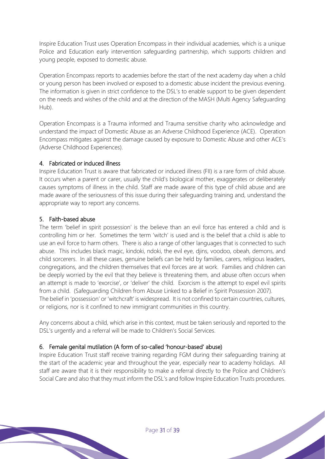Inspire Education Trust uses Operation Encompass in their individual academies, which is a unique Police and Education early intervention safeguarding partnership, which supports children and young people, exposed to domestic abuse.

Operation Encompass reports to academies before the start of the next academy day when a child or young person has been involved or exposed to a domestic abuse incident the previous evening. The information is given in strict confidence to the DSL's to enable support to be given dependent on the needs and wishes of the child and at the direction of the MASH (Multi Agency Safeguarding Hub).

Operation Encompass is a Trauma informed and Trauma sensitive charity who acknowledge and understand the impact of Domestic Abuse as an Adverse Childhood Experience (ACE). Operation Encompass mitigates against the damage caused by exposure to Domestic Abuse and other ACE's (Adverse Childhood Experiences).

## 4. Fabricated or induced illness

Inspire Education Trust is aware that fabricated or induced illness (FII) is a rare form of child abuse. It occurs when a parent or carer, usually the child's biological mother, exaggerates or deliberately causes symptoms of illness in the child. Staff are made aware of this type of child abuse and are made aware of the seriousness of this issue during their safeguarding training and, understand the appropriate way to report any concerns.

# 5. Faith-based abuse

The term 'belief in spirit possession' is the believe than an evil force has entered a child and is controlling him or her. Sometimes the term 'witch' is used and is the belief that a child is able to use an evil force to harm others. There is also a range of other languages that is connected to such abuse. This includes black magic, kindoki, ndoki, the evil eye, djins, voodoo, obeah, demons, and child sorcerers. In all these cases, genuine beliefs can be held by families, carers, religious leaders, congregations, and the children themselves that evil forces are at work. Families and children can be deeply worried by the evil that they believe is threatening them, and abuse often occurs when an attempt is made to 'exorcise', or 'deliver' the child. Exorcism is the attempt to expel evil spirits from a child. (Safeguarding Children from Abuse Linked to a Belief in Spirit Possession 2007). The belief in 'possession' or 'witchcraft' is widespread. It is not confined to certain countries, cultures, or religions, nor is it confined to new immigrant communities in this country.

Any concerns about a child, which arise in this context, must be taken seriously and reported to the DSL's urgently and a referral will be made to Children's Social Services.

# 6. Female genital mutilation (A form of so-called 'honour-based' abuse)

Inspire Education Trust staff receive training regarding FGM during their safeguarding training at the start of the academic year and throughout the year, especially near to academy holidays. All staff are aware that it is their responsibility to make a referral directly to the Police and Children's Social Care and also that they must inform the DSL's and follow Inspire Education Trusts procedures.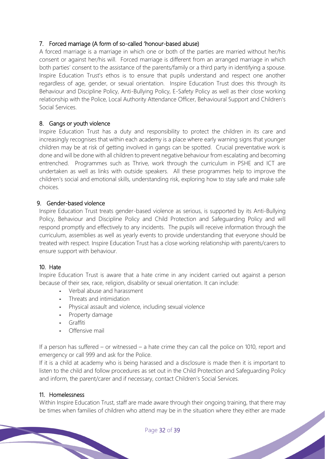## 7. Forced marriage (A form of so-called 'honour-based abuse)

A forced marriage is a marriage in which one or both of the parties are married without her/his consent or against her/his will. Forced marriage is different from an arranged marriage in which both parties' consent to the assistance of the parents/family or a third party in identifying a spouse. Inspire Education Trust's ethos is to ensure that pupils understand and respect one another regardless of age, gender, or sexual orientation. Inspire Education Trust does this through its Behaviour and Discipline Policy, Anti-Bullying Policy, E-Safety Policy as well as their close working relationship with the Police, Local Authority Attendance Officer, Behavioural Support and Children's Social Services.

## 8. Gangs or youth violence

Inspire Education Trust has a duty and responsibility to protect the children in its care and increasingly recognises that within each academy is a place where early warning signs that younger children may be at risk of getting involved in gangs can be spotted. Crucial preventative work is done and will be done with all children to prevent negative behaviour from escalating and becoming entrenched. Programmes such as Thrive, work through the curriculum in PSHE and ICT are undertaken as well as links with outside speakers. All these programmes help to improve the children's social and emotional skills, understanding risk, exploring how to stay safe and make safe choices.

## 9. Gender-based violence

Inspire Education Trust treats gender-based violence as serious, is supported by its Anti-Bullying Policy, Behaviour and Discipline Policy and Child Protection and Safeguarding Policy and will respond promptly and effectively to any incidents. The pupils will receive information through the curriculum, assemblies as well as yearly events to provide understanding that everyone should be treated with respect. Inspire Education Trust has a close working relationship with parents/carers to ensure support with behaviour.

# 10. Hate

Inspire Education Trust is aware that a hate crime in any incident carried out against a person because of their sex, race, religion, disability or sexual orientation. It can include:

- **-** Verbal abuse and harassment
- **-** Threats and intimidation
- **-** Physical assault and violence, including sexual violence
- **-** Property damage
- **-** Graffiti
- **-** Offensive mail

If a person has suffered – or witnessed – a hate crime they can call the police on 1010, report and emergency or call 999 and ask for the Police.

If it is a child at academy who is being harassed and a disclosure is made then it is important to listen to the child and follow procedures as set out in the Child Protection and Safeguarding Policy and inform, the parent/carer and if necessary, contact Children's Social Services.

## 11. Homelessness

Within Inspire Education Trust, staff are made aware through their ongoing training, that there may be times when families of children who attend may be in the situation where they either are made<br>Page 32 of 39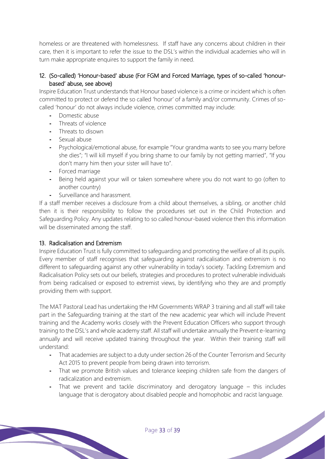homeless or are threatened with homelessness. If staff have any concerns about children in their care, then it is important to refer the issue to the DSL's within the individual academies who will in turn make appropriate enquires to support the family in need.

## 12. (So-called) 'Honour-based' abuse (For FGM and Forced Marriage, types of so-called 'honourbased' abuse, see above)

Inspire Education Trust understands that Honour based violence is a crime or incident which is often committed to protect or defend the so called 'honour' of a family and/or community. Crimes of socalled 'honour' do not always include violence, crimes committed may include:

- **-** Domestic abuse
- **-** Threats of violence
- **-** Threats to disown
- **-** Sexual abuse
- **-** Psychological/emotional abuse, for example "Your grandma wants to see you marry before she dies"; "I will kill myself if you bring shame to our family by not getting married", "If you don't marry him then your sister will have to".
- **-** Forced marriage
- **-** Being held against your will or taken somewhere where you do not want to go (often to another country)
- **-** Surveillance and harassment.

If a staff member receives a disclosure from a child about themselves, a sibling, or another child then it is their responsibility to follow the procedures set out in the Child Protection and Safeguarding Policy. Any updates relating to so called honour-based violence then this information will be disseminated among the staff.

## 13. Radicalisation and Extremism

Inspire Education Trust is fully committed to safeguarding and promoting the welfare of all its pupils. Every member of staff recognises that safeguarding against radicalisation and extremism is no different to safeguarding against any other vulnerability in today's society. Tackling Extremism and Radicalisation Policy sets out our beliefs, strategies and procedures to protect vulnerable individuals from being radicalised or exposed to extremist views, by identifying who they are and promptly providing them with support.

The MAT Pastoral Lead has undertaking the HM Governments WRAP 3 training and all staff will take part in the Safeguarding training at the start of the new academic year which will include Prevent training and the Academy works closely with the Prevent Education Officers who support through training to the DSL's and whole academy staff. All staff will undertake annually the Prevent e-learning annually and will receive updated training throughout the year. Within their training staff will understand:

- **-** That academies are subject to a duty under section 26 of the Counter Terrorism and Security Act 2015 to prevent people from being drawn into terrorism.
- **-** That we promote British values and tolerance keeping children safe from the dangers of radicalization and extremism.
- **-** That we prevent and tackle discriminatory and derogatory language this includes language that is derogatory about disabled people and homophobic and racist language.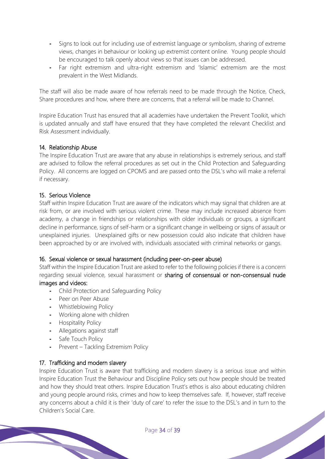- **-** Signs to look out for including use of extremist language or symbolism, sharing of extreme views, changes in behaviour or looking up extremist content online. Young people should be encouraged to talk openly about views so that issues can be addressed.
- **-** Far right extremism and ultra-right extremism and 'Islamic' extremism are the most prevalent in the West Midlands.

The staff will also be made aware of how referrals need to be made through the Notice, Check, Share procedures and how, where there are concerns, that a referral will be made to Channel.

Inspire Education Trust has ensured that all academies have undertaken the Prevent Toolkit, which is updated annually and staff have ensured that they have completed the relevant Checklist and Risk Assessment individually.

## 14. Relationship Abuse

The Inspire Education Trust are aware that any abuse in relationships is extremely serious, and staff are advised to follow the referral procedures as set out in the Child Protection and Safeguarding Policy. All concerns are logged on CPOMS and are passed onto the DSL's who will make a referral if necessary.

## 15. Serious Violence

Staff within Inspire Education Trust are aware of the indicators which may signal that children are at risk from, or are involved with serious violent crime. These may include increased absence from academy, a change in friendships or relationships with older individuals or groups, a significant decline in performance, signs of self-harm or a significant change in wellbeing or signs of assault or unexplained injuries. Unexplained gifts or new possession could also indicate that children have been approached by or are involved with, individuals associated with criminal networks or gangs.

## 16. Sexual violence or sexual harassment (including peer-on-peer abuse)

Staff within the Inspire Education Trust are asked to refer to the following policies if there is a concern regarding sexual violence, sexual harassment or sharing of consensual or non-consensual nude images and videos:

- **-** Child Protection and Safeguarding Policy
- **-** Peer on Peer Abuse
- **-** Whistleblowing Policy
- **-** Working alone with children
- **-** Hospitality Policy
- **-** Allegations against staff
- **-** Safe Touch Policy
- **-** Prevent Tackling Extremism Policy

# 17. Trafficking and modern slavery

Inspire Education Trust is aware that trafficking and modern slavery is a serious issue and within Inspire Education Trust the Behaviour and Discipline Policy sets out how people should be treated and how they should treat others. Inspire Education Trust's ethos is also about educating children and young people around risks, crimes and how to keep themselves safe. If, however, staff receive any concerns about a child it is their 'duty of care' to refer the issue to the DSL's and in turn to the Children's Social Care.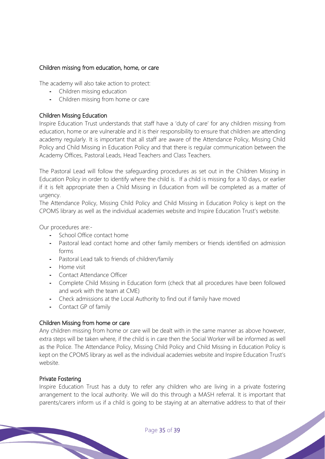## Children missing from education, home, or care

The academy will also take action to protect:

- **-** Children missing education
- **-** Children missing from home or care

## Children Missing Education

Inspire Education Trust understands that staff have a 'duty of care' for any children missing from education, home or are vulnerable and it is their responsibility to ensure that children are attending academy regularly. It is important that all staff are aware of the Attendance Policy, Missing Child Policy and Child Missing in Education Policy and that there is regular communication between the Academy Offices, Pastoral Leads, Head Teachers and Class Teachers.

The Pastoral Lead will follow the safeguarding procedures as set out in the Children Missing in Education Policy in order to identify where the child is. If a child is missing for a 10 days, or earlier if it is felt appropriate then a Child Missing in Education from will be completed as a matter of urgency.

The Attendance Policy, Missing Child Policy and Child Missing in Education Policy is kept on the CPOMS library as well as the individual academies website and Inspire Education Trust's website.

Our procedures are:-

- **-** School Office contact home
- **-** Pastoral lead contact home and other family members or friends identified on admission forms
- **-** Pastoral Lead talk to friends of children/family
- **-** Home visit
- **-** Contact Attendance Officer
- **-** Complete Child Missing in Education form (check that all procedures have been followed and work with the team at CME)
- **-** Check admissions at the Local Authority to find out if family have moved
- **-** Contact GP of family

# Children Missing from home or care

Any children missing from home or care will be dealt with in the same manner as above however, extra steps will be taken where, if the child is in care then the Social Worker will be informed as well as the Police. The Attendance Policy, Missing Child Policy and Child Missing in Education Policy is kept on the CPOMS library as well as the individual academies website and Inspire Education Trust's website.

## Private Fostering

Inspire Education Trust has a duty to refer any children who are living in a private fostering arrangement to the local authority. We will do this through a MASH referral. It is important that parents/carers inform us if a child is going to be staying at an alternative address to that of their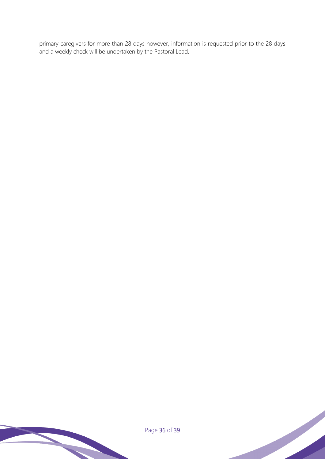primary caregivers for more than 28 days however, information is requested prior to the 28 days and a weekly check will be undertaken by the Pastoral Lead.

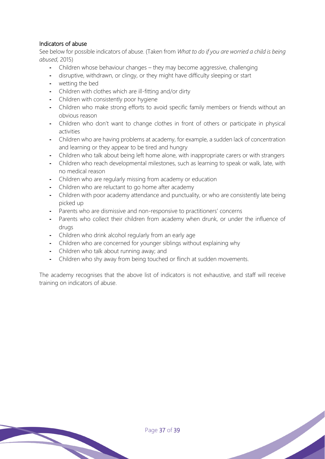# Indicators of abuse

See below for possible indicators of abuse. (Taken from *What to do if you are worried a child is being abused*, 2015)

- **-** Children whose behaviour changes they may become aggressive, challenging
- **-** disruptive, withdrawn, or clingy, or they might have difficulty sleeping or start
- **-** wetting the bed
- **-** Children with clothes which are ill-fitting and/or dirty
- **-** Children with consistently poor hygiene
- **-** Children who make strong efforts to avoid specific family members or friends without an obvious reason
- **-** Children who don't want to change clothes in front of others or participate in physical activities
- **-** Children who are having problems at academy, for example, a sudden lack of concentration and learning or they appear to be tired and hungry
- **-** Children who talk about being left home alone, with inappropriate carers or with strangers
- **-** Children who reach developmental milestones, such as learning to speak or walk, late, with no medical reason
- **-** Children who are regularly missing from academy or education
- **-** Children who are reluctant to go home after academy
- **-** Children with poor academy attendance and punctuality, or who are consistently late being picked up
- **-** Parents who are dismissive and non-responsive to practitioners' concerns
- Parents who collect their children from academy when drunk, or under the influence of drugs
- **-** Children who drink alcohol regularly from an early age
- **-** Children who are concerned for younger siblings without explaining why
- **-** Children who talk about running away; and
- **-** Children who shy away from being touched or flinch at sudden movements.

The academy recognises that the above list of indicators is not exhaustive, and staff will receive training on indicators of abuse.

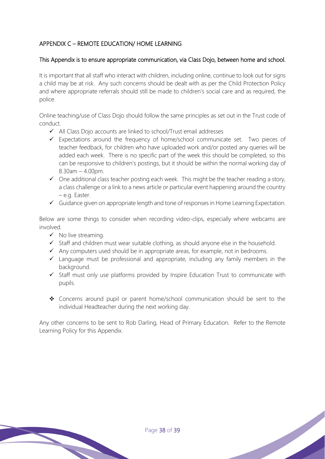# APPENDIX C – REMOTE EDUCATION/ HOME LEARNING

## This Appendix is to ensure appropriate communication, via Class Dojo, between home and school.

It is important that all staff who interact with children, including online, continue to look out for signs a child may be at risk. Any such concerns should be dealt with as per the Child Protection Policy and where appropriate referrals should still be made to children's social care and as required, the police.

Online teaching/use of Class Dojo should follow the same principles as set out in the Trust code of conduct.

- ✓ All Class Dojo accounts are linked to school/Trust email addresses
- ✓ Expectations around the frequency of home/school communicate set. Two pieces of teacher feedback, for children who have uploaded work and/or posted any queries will be added each week. There is no specific part of the week this should be completed, so this can be responsive to children's postings, but it should be within the normal working day of  $8.30$ am  $-4.00$ pm.
- $\checkmark$  One additional class teacher posting each week. This might be the teacher reading a story, a class challenge or a link to a news article or particular event happening around the country – e.g. Easter.
- ✓ Guidance given on appropriate length and tone of responses in Home Learning Expectation.

Below are some things to consider when recording video-clips, especially where webcams are involved.

- ✓ No live streaming.
- ✓ Staff and children must wear suitable clothing, as should anyone else in the household.
- ✓ Any computers used should be in appropriate areas, for example, not in bedrooms.
- $\checkmark$  Language must be professional and appropriate, including any family members in the background
- ✓ Staff must only use platforms provided by Inspire Education Trust to communicate with pupils.
- ❖ Concerns around pupil or parent home/school communication should be sent to the individual Headteacher during the next working day.

Any other concerns to be sent to Rob Darling, Head of Primary Education. Refer to the Remote Learning Policy for this Appendix.